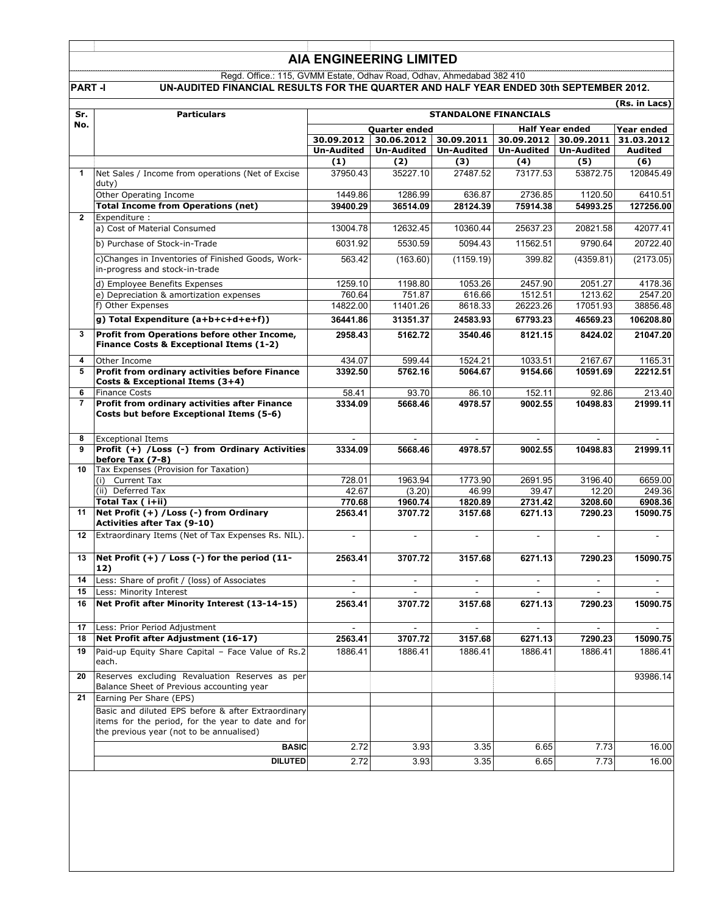#### Regd. Office.: 115, GVMM Estate, Odhav Road, Odhav, Ahmedabad 382 410 **PART -I UN-AUDITED FINANCIAL RESULTS FOR THE QUARTER AND HALF YEAR ENDED 30th SEPTEMBER 2012.**

|                |                                                                                                                                                      |                                         |                          |                   |                          |                          | (Rs. in Lacs)  |
|----------------|------------------------------------------------------------------------------------------------------------------------------------------------------|-----------------------------------------|--------------------------|-------------------|--------------------------|--------------------------|----------------|
| Sr.            | <b>Particulars</b>                                                                                                                                   | <b>STANDALONE FINANCIALS</b>            |                          |                   |                          |                          |                |
| No.            |                                                                                                                                                      | <b>Half Year ended</b><br>Quarter ended |                          |                   |                          | Year ended               |                |
|                |                                                                                                                                                      | 30.09.2012                              | 30.06.2012               | 30.09.2011        | 30.09.2012 30.09.2011    |                          | 31.03.2012     |
|                |                                                                                                                                                      | Un-Audited                              | <b>Un-Audited</b>        | <b>Un-Audited</b> | Un-Audited               | <b>Un-Audited</b>        | Audited        |
|                |                                                                                                                                                      | (1)                                     | (2)                      | (3)               | (4)                      | (5)                      | (6)            |
| $\mathbf 1$    | Net Sales / Income from operations (Net of Excise<br>duty)                                                                                           | 37950.43                                | 35227.10                 | 27487.52          | 73177.53                 | 53872.75                 | 120845.49      |
|                | Other Operating Income                                                                                                                               | 1449.86                                 | 1286.99                  | 636.87            | 2736.85                  | 1120.50                  | 6410.51        |
|                | <b>Total Income from Operations (net)</b>                                                                                                            | 39400.29                                | 36514.09                 | 28124.39          | 75914.38                 | 54993.25                 | 127256.00      |
| $\mathbf{2}$   | Expenditure :                                                                                                                                        |                                         |                          |                   |                          |                          |                |
|                | a) Cost of Material Consumed                                                                                                                         | 13004.78                                | 12632.45                 | 10360.44          | 25637.23                 | 20821.58                 | 42077.41       |
|                | b) Purchase of Stock-in-Trade                                                                                                                        | 6031.92                                 | 5530.59                  | 5094.43           | 11562.51                 | 9790.64                  | 20722.40       |
|                | c)Changes in Inventories of Finished Goods, Work-<br>in-progress and stock-in-trade                                                                  | 563.42                                  | (163.60)                 | (1159.19)         | 399.82                   | (4359.81)                | (2173.05)      |
|                | d) Employee Benefits Expenses                                                                                                                        | 1259.10                                 | 1198.80                  | 1053.26           | 2457.90                  | 2051.27                  | 4178.36        |
|                | e) Depreciation & amortization expenses                                                                                                              | 760.64                                  | 751.87                   | 616.66            | 1512.51                  | 1213.62                  | 2547.20        |
|                | f) Other Expenses                                                                                                                                    | 14822.00                                | 11401.26                 | 8618.33           | 26223.26                 | 17051.93                 | 38856.48       |
|                | g) Total Expenditure (a+b+c+d+e+f))                                                                                                                  | 36441.86                                | 31351.37                 | 24583.93          | 67793.23                 | 46569.23                 | 106208.80      |
| 3              | Profit from Operations before other Income,<br>Finance Costs & Exceptional Items (1-2)                                                               | 2958.43                                 | 5162.72                  | 3540.46           | 8121.15                  | 8424.02                  | 21047.20       |
| 4              | Other Income                                                                                                                                         | 434.07                                  | 599.44                   | 1524.21           | 1033.51                  | 2167.67                  | 1165.31        |
| 5              | Profit from ordinary activities before Finance<br>Costs & Exceptional Items (3+4)                                                                    | 3392.50                                 | 5762.16                  | 5064.67           | 9154.66                  | 10591.69                 | 22212.51       |
| 6              | <b>Finance Costs</b>                                                                                                                                 | 58.41                                   | 93.70                    | 86.10             | 152.11                   | 92.86                    | 213.40         |
| $\overline{7}$ | Profit from ordinary activities after Finance<br>Costs but before Exceptional Items (5-6)                                                            | 3334.09                                 | 5668.46                  | 4978.57           | 9002.55                  | 10498.83                 | 21999.11       |
| 8              | <b>Exceptional Items</b>                                                                                                                             |                                         | $\sim$                   | $\sim$            |                          |                          |                |
| 9              | Profit (+) /Loss (-) from Ordinary Activities<br>before Tax (7-8)                                                                                    | 3334.09                                 | 5668.46                  | 4978.57           | 9002.55                  | 10498.83                 | 21999.11       |
| 10             | Tax Expenses (Provision for Taxation)                                                                                                                |                                         |                          |                   |                          |                          |                |
|                | (i) Current Tax                                                                                                                                      | 728.01                                  | 1963.94                  | 1773.90           | 2691.95                  | 3196.40                  | 6659.00        |
|                | (ii) Deferred Tax                                                                                                                                    | 42.67                                   | (3.20)                   | 46.99             | 39.47                    | 12.20                    | 249.36         |
|                | Total Tax ( i+ii)                                                                                                                                    | 770.68                                  | 1960.74                  | 1820.89           | 2731.42                  | 3208.60                  | 6908.36        |
| 11             | Net Profit (+) / Loss (-) from Ordinary<br><b>Activities after Tax (9-10)</b>                                                                        | 2563.41                                 | 3707.72                  | 3157.68           | 6271.13                  | 7290.23                  | 15090.75       |
| 12             | Extraordinary Items (Net of Tax Expenses Rs. NIL).                                                                                                   | $\blacksquare$                          | $\overline{\phantom{a}}$ | $\blacksquare$    | $\overline{\phantom{a}}$ | $\sim$                   | $\blacksquare$ |
| 13             | Net Profit $(+)$ / Loss $(-)$ for the period $(11 -$<br>12)                                                                                          | 2563.41                                 | 3707.72                  | 3157.68           | 6271.13                  | 7290.23                  | 15090.75       |
| 14             | Less: Share of profit / (loss) of Associates                                                                                                         | $\sim$                                  | $\overline{\phantom{a}}$ | $\blacksquare$    | $\blacksquare$           | $\overline{\phantom{a}}$ | $\sim$         |
| 15             | Less: Minority Interest                                                                                                                              |                                         |                          |                   |                          |                          |                |
| 16             | Net Profit after Minority Interest (13-14-15)                                                                                                        | 2563.41                                 | 3707.72                  | 3157.68           | 6271.13                  | 7290.23                  | 15090.75       |
| 17             | Less: Prior Period Adjustment                                                                                                                        | $\blacksquare$                          | $\blacksquare$           | $\blacksquare$    |                          |                          |                |
| 18             | Net Profit after Adjustment (16-17)                                                                                                                  | 2563.41                                 | 3707.72                  | 3157.68           | 6271.13                  | 7290.23                  | 15090.75       |
| 19             | Paid-up Equity Share Capital - Face Value of Rs.2<br>each.                                                                                           | 1886.41                                 | 1886.41                  | 1886.41           | 1886.41                  | 1886.41                  | 1886.41        |
| 20             | Reserves excluding Revaluation Reserves as per<br>Balance Sheet of Previous accounting year                                                          |                                         |                          |                   |                          |                          | 93986.14       |
| 21             | Earning Per Share (EPS)                                                                                                                              |                                         |                          |                   |                          |                          |                |
|                | Basic and diluted EPS before & after Extraordinary<br>items for the period, for the year to date and for<br>the previous year (not to be annualised) |                                         |                          |                   |                          |                          |                |
|                | <b>BASIC</b>                                                                                                                                         | 2.72                                    | 3.93                     | 3.35              | 6.65                     | 7.73                     | 16.00          |
|                | <b>DILUTED</b>                                                                                                                                       | 2.72                                    | 3.93                     | 3.35              | 6.65                     | 7.73                     | 16.00          |
|                |                                                                                                                                                      |                                         |                          |                   |                          |                          |                |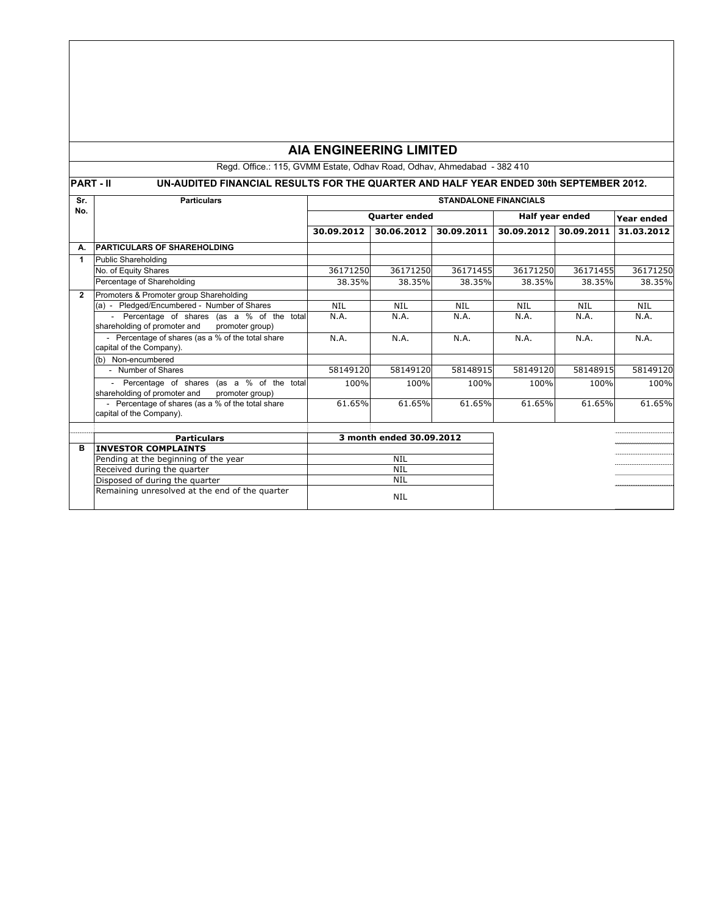Regd. Office.: 115, GVMM Estate, Odhav Road, Odhav, Ahmedabad - 382 410

# **PART - II UN-AUDITED FINANCIAL RESULTS FOR THE QUARTER AND HALF YEAR ENDED 30th SEPTEMBER 2012.**

| Sr.            | <b>Particulars</b>                                                               | <b>STANDALONE FINANCIALS</b> |                          |            |                 |            |            |
|----------------|----------------------------------------------------------------------------------|------------------------------|--------------------------|------------|-----------------|------------|------------|
| No.            |                                                                                  | <b>Quarter ended</b>         |                          |            | Half year ended |            | Year ended |
|                |                                                                                  | 30.09.2012                   | 30.06.2012               | 30.09.2011 | 30.09.2012      | 30.09.2011 | 31.03.2012 |
| А.             | <b>PARTICULARS OF SHAREHOLDING</b>                                               |                              |                          |            |                 |            |            |
| 1              | Public Shareholding                                                              |                              |                          |            |                 |            |            |
|                | No. of Equity Shares                                                             | 36171250                     | 36171250                 | 36171455   | 36171250        | 36171455   | 36171250   |
|                | Percentage of Shareholding                                                       | 38.35%                       | 38.35%                   | 38.35%     | 38.35%          | 38.35%     | 38.35%     |
| $\overline{2}$ | Promoters & Promoter group Shareholding                                          |                              |                          |            |                 |            |            |
|                | (a) - Pledged/Encumbered - Number of Shares                                      | <b>NIL</b>                   | <b>NIL</b>               | <b>NIL</b> | <b>NIL</b>      | <b>NIL</b> | <b>NIL</b> |
|                | - Percentage of shares (as a % of the total                                      | N.A.                         | N.A.                     | N.A.       | N.A.            | N.A.       | N.A.       |
|                | shareholding of promoter and<br>promoter group)                                  |                              |                          |            |                 |            |            |
|                | - Percentage of shares (as a % of the total share                                | N.A.                         | N.A.                     | N.A.       | N.A.            | N.A.       | N.A.       |
|                | capital of the Company).                                                         |                              |                          |            |                 |            |            |
|                | (b) Non-encumbered                                                               |                              |                          |            |                 |            |            |
|                | - Number of Shares                                                               | 58149120                     | 58149120                 | 58148915   | 58149120        | 58148915   | 58149120   |
|                | Percentage of shares (as a % of the total                                        | 100%                         | 100%                     | 100%       | 100%            | 100%       | 100%       |
|                | shareholding of promoter and<br>promoter group)                                  |                              |                          |            |                 |            |            |
|                | - Percentage of shares (as a % of the total share                                | 61.65%                       | 61.65%                   | 61.65%     | 61.65%          | 61.65%     | 61.65%     |
|                | capital of the Company).                                                         |                              |                          |            |                 |            |            |
|                |                                                                                  |                              |                          |            |                 |            |            |
|                | <b>Particulars</b>                                                               |                              | 3 month ended 30.09.2012 |            |                 |            |            |
| B              | <b>INVESTOR COMPLAINTS</b>                                                       | <b>NIL</b>                   |                          |            |                 |            |            |
|                | Pending at the beginning of the year                                             | <b>NIL</b>                   |                          |            |                 |            |            |
|                | Received during the quarter                                                      | <b>NIL</b>                   |                          |            |                 |            |            |
|                | Disposed of during the quarter<br>Remaining unresolved at the end of the quarter |                              |                          |            |                 |            |            |
|                |                                                                                  | <b>NIL</b>                   |                          |            |                 |            |            |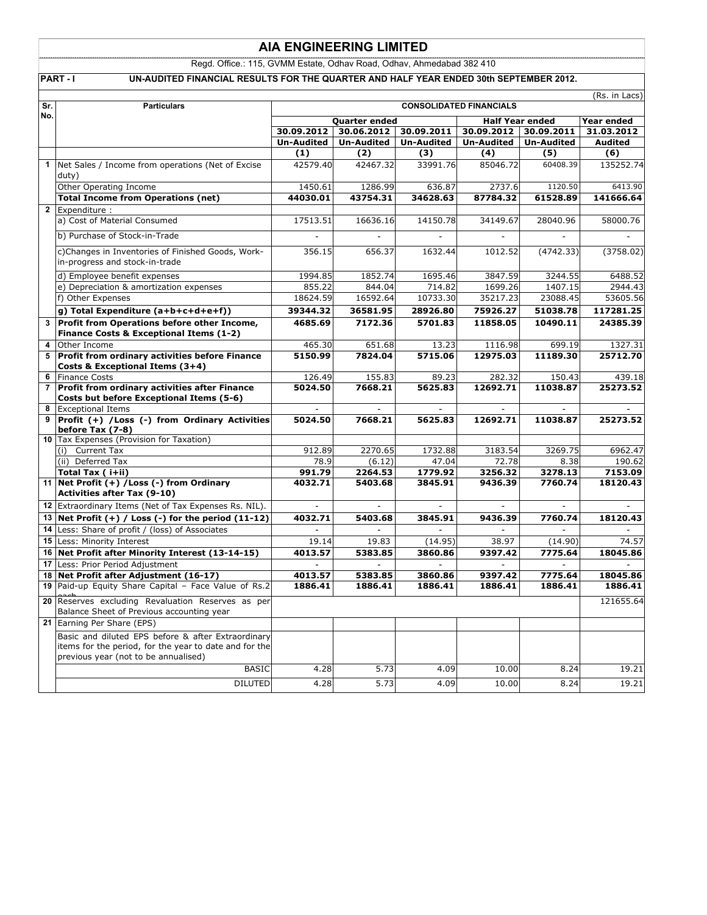Regd. Office.: 115, GVMM Estate, Odhav Road, Odhav, Ahmedabad 382 410

PART - I UN-AUDITED FINANCIAL RESULTS FOR THE QUARTER AND HALF YEAR ENDED 30th SEPTEMBER 2012.

| Sr.            | <b>Particulars</b>                                                                                                                                   | (Rs. in Lacs)<br><b>CONSOLIDATED FINANCIALS</b> |                                 |                                 |                                     |                   |                              |
|----------------|------------------------------------------------------------------------------------------------------------------------------------------------------|-------------------------------------------------|---------------------------------|---------------------------------|-------------------------------------|-------------------|------------------------------|
| No.            |                                                                                                                                                      |                                                 |                                 |                                 |                                     |                   |                              |
|                |                                                                                                                                                      | Quarter ended                                   |                                 |                                 | <b>Half Year ended</b>              |                   | Year ended                   |
|                |                                                                                                                                                      | 30.09.2012<br><b>Un-Audited</b>                 | 30.06.2012<br><b>Un-Audited</b> | 30.09.2011<br><b>Un-Audited</b> | 30.09.2012 30.09.2011<br>Un-Audited | <b>Un-Audited</b> | 31.03.2012<br><b>Audited</b> |
|                |                                                                                                                                                      | (1)                                             | (2)                             |                                 |                                     | (5)               | (6)                          |
|                |                                                                                                                                                      |                                                 |                                 | (3)                             | (4)                                 | 60408.39          |                              |
|                | 1 Net Sales / Income from operations (Net of Excise<br>duty)                                                                                         | 42579.40                                        | 42467.32                        | 33991.76                        | 85046.72                            |                   | 135252.74                    |
|                | Other Operating Income                                                                                                                               | 1450.61                                         | 1286.99                         | 636.87                          | 2737.6                              | 1120.50           | 6413.90                      |
|                | <b>Total Income from Operations (net)</b>                                                                                                            | 44030.01                                        | 43754.31                        | 34628.63                        | 87784.32                            | 61528.89          | 141666.64                    |
| $\mathbf{2}$   | Expenditure:                                                                                                                                         |                                                 |                                 |                                 |                                     |                   |                              |
|                | a) Cost of Material Consumed                                                                                                                         | 17513.51                                        | 16636.16                        | 14150.78                        | 34149.67                            | 28040.96          | 58000.76                     |
|                | b) Purchase of Stock-in-Trade                                                                                                                        |                                                 |                                 |                                 |                                     |                   |                              |
|                | c)Changes in Inventories of Finished Goods, Work-<br>in-progress and stock-in-trade                                                                  | 356.15                                          | 656.37                          | 1632.44                         | 1012.52                             | (4742.33)         | (3758.02)                    |
|                | d) Employee benefit expenses                                                                                                                         | 1994.85                                         | 1852.74                         | 1695.46                         | 3847.59                             | 3244.55           | 6488.52                      |
|                | e) Depreciation & amortization expenses                                                                                                              | 855.22                                          | 844.04                          | 714.82                          | 1699.26                             | 1407.15           | 2944.43                      |
|                | f) Other Expenses                                                                                                                                    | 18624.59                                        | 16592.64                        | 10733.30                        | 35217.23                            | 23088.45          | 53605.56                     |
|                | g) Total Expenditure (a+b+c+d+e+f))                                                                                                                  | 39344.32                                        | 36581.95                        | 28926.80                        | 75926.27                            | 51038.78          | 117281.25                    |
|                | 3 Profit from Operations before other Income,<br>Finance Costs & Exceptional Items (1-2)                                                             | 4685.69                                         | 7172.36                         | 5701.83                         | 11858.05                            | 10490.11          | 24385.39                     |
|                | 4 Other Income                                                                                                                                       | 465.30                                          | 651.68                          | 13.23                           | 1116.98                             | 699.19            | 1327.31                      |
| 5              | Profit from ordinary activities before Finance                                                                                                       | 5150.99                                         | 7824.04                         | 5715.06                         | 12975.03                            | 11189.30          | 25712.70                     |
|                | Costs & Exceptional Items (3+4)                                                                                                                      |                                                 |                                 |                                 |                                     |                   |                              |
|                | 6 Finance Costs                                                                                                                                      | 126.49                                          | 155.83                          | 89.23                           | 282.32                              | 150.43            | 439.18                       |
| $\overline{7}$ | Profit from ordinary activities after Finance                                                                                                        | 5024.50                                         | 7668.21                         | 5625.83                         | 12692.71                            | 11038.87          | 25273.52                     |
|                | Costs but before Exceptional Items (5-6)                                                                                                             |                                                 |                                 |                                 |                                     |                   |                              |
|                | 8 Exceptional Items                                                                                                                                  |                                                 |                                 |                                 |                                     |                   |                              |
| 9              | Profit (+) /Loss (-) from Ordinary Activities                                                                                                        | 5024.50                                         | 7668.21                         | 5625.83                         | 12692.71                            | 11038.87          | 25273.52                     |
| 10             | before Tax (7-8)<br>Tax Expenses (Provision for Taxation)                                                                                            |                                                 |                                 |                                 |                                     |                   |                              |
|                | (i) Current Tax                                                                                                                                      | 912.89                                          | 2270.65                         | 1732.88                         | 3183.54                             | 3269.75           | 6962.47                      |
|                | (ii) Deferred Tax                                                                                                                                    | 78.9                                            | (6.12)                          | 47.04                           | 72.78                               | 8.38              | 190.62                       |
|                | Total Tax (i+ii)                                                                                                                                     | 991.79                                          | 2264.53                         | 1779.92                         | 3256.32                             | 3278.13           | 7153.09                      |
|                | 11 Net Profit (+) / Loss (-) from Ordinary                                                                                                           | 4032.71                                         | 5403.68                         | 3845.91                         | 9436.39                             | 7760.74           | 18120.43                     |
|                | <b>Activities after Tax (9-10)</b>                                                                                                                   |                                                 |                                 |                                 |                                     |                   |                              |
|                | 12 Extraordinary Items (Net of Tax Expenses Rs. NIL).                                                                                                | $\mathbf{r}$                                    |                                 |                                 | $\sim$                              | $\sim$            |                              |
|                | 13 Net Profit $(+)$ / Loss $(-)$ for the period $(11-12)$                                                                                            | 4032.71                                         | 5403.68                         | 3845.91                         | 9436.39                             | 7760.74           | 18120.43                     |
|                | 14 Less: Share of profit / (loss) of Associates                                                                                                      | $\overline{\phantom{a}}$                        |                                 |                                 | $\mathbb{Z}^2$                      |                   |                              |
|                | 15 Less: Minority Interest                                                                                                                           | 19.14                                           | 19.83                           | (14.95)                         | 38.97                               | (14.90)           | 74.57                        |
|                | 16 Net Profit after Minority Interest (13-14-15)                                                                                                     | 4013.57                                         | 5383.85                         | 3860.86                         | 9397.42                             | 7775.64           | 18045.86                     |
|                | 17 Less: Prior Period Adjustment                                                                                                                     |                                                 |                                 |                                 |                                     |                   |                              |
|                | 18 Net Profit after Adjustment (16-17)                                                                                                               | 4013.57                                         | 5383.85                         | 3860.86                         | 9397.42                             | 7775.64           | 18045.86                     |
|                | 19 Paid-up Equity Share Capital - Face Value of Rs.2                                                                                                 | 1886.41                                         | 1886.41                         | 1886.41                         | 1886.41                             | 1886.41           | 1886.41                      |
| 20             | Reserves excluding Revaluation Reserves as per<br>Balance Sheet of Previous accounting year                                                          |                                                 |                                 |                                 |                                     |                   | 121655.64                    |
|                | 21 Earning Per Share (EPS)                                                                                                                           |                                                 |                                 |                                 |                                     |                   |                              |
|                | Basic and diluted EPS before & after Extraordinary<br>items for the period, for the year to date and for the<br>previous year (not to be annualised) |                                                 |                                 |                                 |                                     |                   |                              |
|                | <b>BASIC</b>                                                                                                                                         | 4.28                                            | 5.73                            | 4.09                            | 10.00                               | 8.24              | 19.21                        |
|                | <b>DILUTED</b>                                                                                                                                       | 4.28                                            | 5.73                            | 4.09                            | 10.00                               | 8.24              | 19.21                        |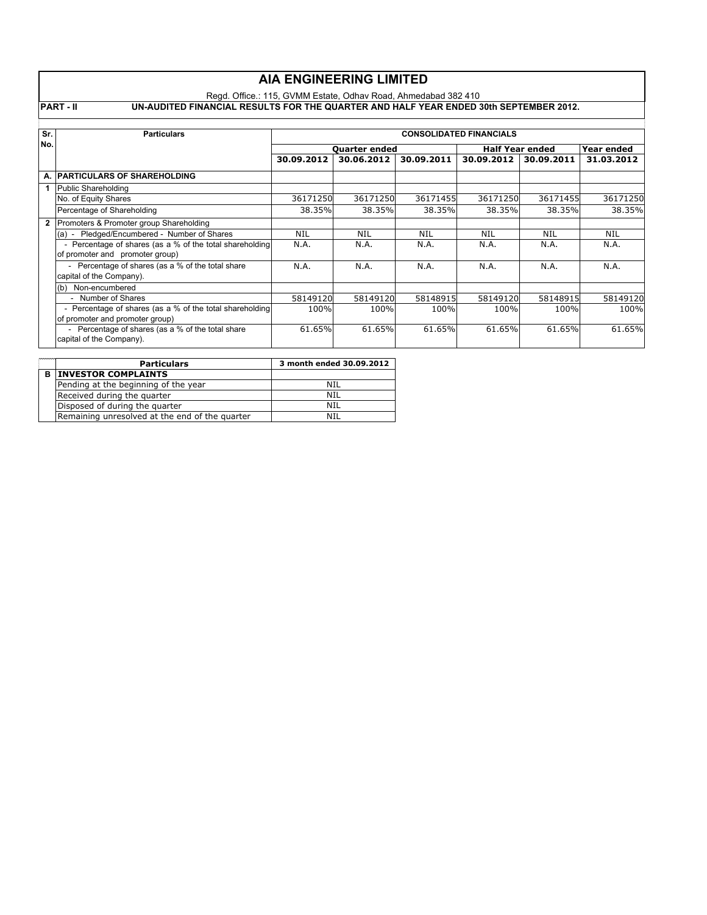### Regd. Office.: 115, GVMM Estate, Odhav Road, Ahmedabad 382 410

**PART - II UN-AUDITED FINANCIAL RESULTS FOR THE QUARTER AND HALF YEAR ENDED 30th SEPTEMBER 2012.**

| Sr. | <b>Particulars</b>                                                                          | <b>CONSOLIDATED FINANCIALS</b> |            |            |                        |            |            |
|-----|---------------------------------------------------------------------------------------------|--------------------------------|------------|------------|------------------------|------------|------------|
| No. |                                                                                             | <b>Ouarter ended</b>           |            |            | <b>Half Year ended</b> |            | Year ended |
|     |                                                                                             | 30.09.2012                     | 30.06.2012 | 30.09.2011 | 30.09.2012             | 30.09.2011 | 31.03.2012 |
|     | A. PARTICULARS OF SHAREHOLDING                                                              |                                |            |            |                        |            |            |
|     | Public Shareholding                                                                         |                                |            |            |                        |            |            |
|     | No. of Equity Shares                                                                        | 36171250                       | 36171250   | 36171455   | 36171250               | 36171455   | 36171250   |
|     | Percentage of Shareholding                                                                  | 38.35%                         | 38.35%     | 38.35%     | 38.35%                 | 38.35%     | 38.35%     |
|     | 2 Promoters & Promoter group Shareholding                                                   |                                |            |            |                        |            |            |
|     | (a) - Pledged/Encumbered - Number of Shares                                                 | NIL                            | NIL        | NIL        | NIL                    | NIL        | NIL        |
|     | - Percentage of shares (as a % of the total shareholding<br>of promoter and promoter group) | N.A.                           | N.A.       | N.A.       | N.A.                   | N.A.       | N.A.       |
|     | - Percentage of shares (as a % of the total share<br>capital of the Company).               | N.A.                           | N.A.       | N.A.       | N.A.                   | N.A.       | N.A.       |
|     | (b) Non-encumbered                                                                          |                                |            |            |                        |            |            |
|     | - Number of Shares                                                                          | 58149120                       | 58149120   | 58148915   | 58149120               | 58148915   | 58149120   |
|     | - Percentage of shares (as a % of the total shareholding<br>of promoter and promoter group) | 100%                           | 100%       | 100%       | 100%                   | 100%       | 100%       |
|     | - Percentage of shares (as a % of the total share<br>capital of the Company).               | 61.65%                         | 61.65%     | 61.65%     | 61.65%                 | 61.65%     | 61.65%     |

|   | <b>Particulars</b>                             | 3 month ended 30.09.2012 |
|---|------------------------------------------------|--------------------------|
| в | <b>INVESTOR COMPLAINTS</b>                     |                          |
|   | Pending at the beginning of the year           | NIL                      |
|   | Received during the quarter                    | NIL                      |
|   | Disposed of during the quarter                 | NIL                      |
|   | Remaining unresolved at the end of the quarter | NH                       |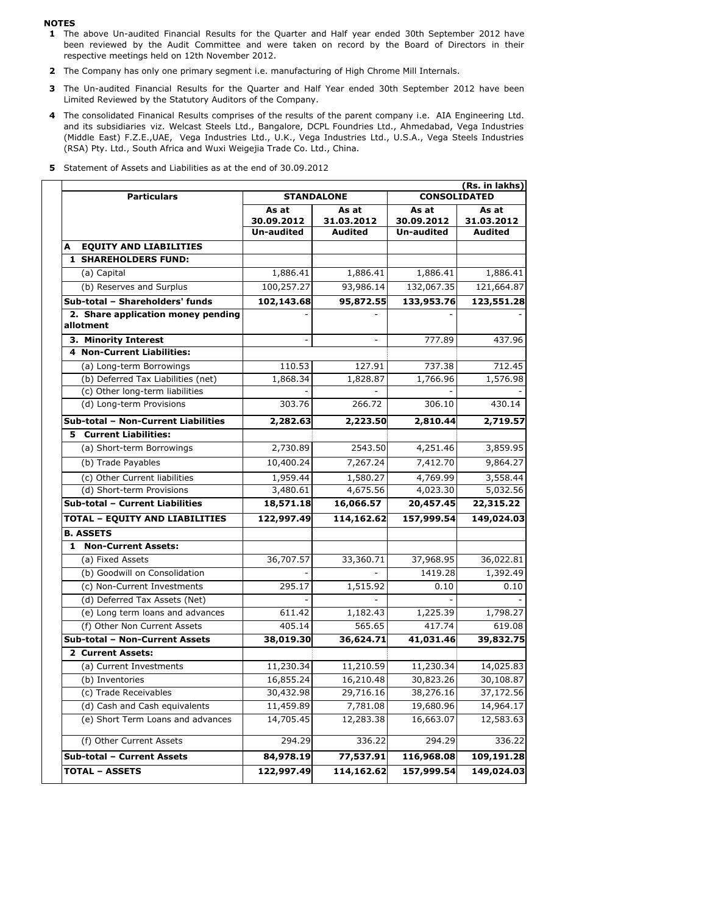#### **NOTES**

- **1** The above Un-audited Financial Results for the Quarter and Half year ended 30th September 2012 have been reviewed by the Audit Committee and were taken on record by the Board of Directors in their respective meetings held on 12th November 2012.
- **2** The Company has only one primary segment i.e. manufacturing of High Chrome Mill Internals.
- **3** The Un-audited Financial Results for the Quarter and Half Year ended 30th September 2012 have been Limited Reviewed by the Statutory Auditors of the Company.
- **4** The consolidated Finanical Results comprises of the results of the parent company i.e. AIA Engineering Ltd. and its subsidiaries viz. Welcast Steels Ltd., Bangalore, DCPL Foundries Ltd., Ahmedabad, Vega Industries (Middle East) F.Z.E.,UAE, Vega Industries Ltd., U.K., Vega Industries Ltd., U.S.A., Vega Steels Industries (RSA) Pty. Ltd., South Africa and Wuxi Weigejia Trade Co. Ltd., China.

### **5** Statement of Assets and Liabilities as at the end of 30.09.2012

| <b>Particulars</b>                              |                                          | <b>STANDALONE</b>                     | (Rs. in lakhs)<br><b>CONSOLIDATED</b>    |                                       |  |  |
|-------------------------------------------------|------------------------------------------|---------------------------------------|------------------------------------------|---------------------------------------|--|--|
|                                                 | As at<br>30.09.2012<br><b>Un-audited</b> | As at<br>31.03.2012<br><b>Audited</b> | As at<br>30.09.2012<br><b>Un-audited</b> | As at<br>31.03.2012<br><b>Audited</b> |  |  |
| <b>EQUITY AND LIABILITIES</b><br>A              |                                          |                                       |                                          |                                       |  |  |
| <b>1 SHAREHOLDERS FUND:</b>                     |                                          |                                       |                                          |                                       |  |  |
| (a) Capital                                     | 1,886.41                                 | 1,886.41                              | 1,886.41                                 | 1,886.41                              |  |  |
| (b) Reserves and Surplus                        | 100,257.27                               | 93,986.14                             | 132,067.35                               | 121,664.87                            |  |  |
| Sub-total - Shareholders' funds                 | 102,143.68                               | 95,872.55                             | 133,953.76                               | 123,551.28                            |  |  |
| 2. Share application money pending<br>allotment |                                          |                                       |                                          |                                       |  |  |
| 3. Minority Interest                            |                                          |                                       | 777.89                                   | 437.96                                |  |  |
| <b>4 Non-Current Liabilities:</b>               |                                          |                                       |                                          |                                       |  |  |
| (a) Long-term Borrowings                        | 110.53                                   | 127.91                                | 737.38                                   | 712.45                                |  |  |
| (b) Deferred Tax Liabilities (net)              | 1,868.34                                 | 1,828.87                              | 1,766.96                                 | 1,576.98                              |  |  |
| (c) Other long-term liabilities                 |                                          |                                       |                                          |                                       |  |  |
| (d) Long-term Provisions                        | 303.76                                   | 266.72                                | 306.10                                   | 430.14                                |  |  |
| Sub-total - Non-Current Liabilities             | 2,282.63                                 | 2,223.50                              | 2,810.44                                 | 2,719.57                              |  |  |
| <b>5</b> Current Liabilities:                   |                                          |                                       |                                          |                                       |  |  |
| (a) Short-term Borrowings                       | 2,730.89                                 | 2543.50                               | 4,251.46                                 | 3,859.95                              |  |  |
| (b) Trade Payables                              | 10,400.24                                | 7,267.24                              | 7,412.70                                 | 9,864.27                              |  |  |
| (c) Other Current liabilities                   | 1,959.44                                 | 1,580.27                              | 4,769.99                                 | 3,558.44                              |  |  |
| (d) Short-term Provisions                       | 3,480.61                                 | 4,675.56                              | 4,023.30                                 | 5,032.56                              |  |  |
| Sub-total - Current Liabilities                 | 18,571.18                                | 16,066.57                             | 20,457.45                                | 22,315.22                             |  |  |
| <b>TOTAL - EQUITY AND LIABILITIES</b>           | 122,997.49                               | 114,162.62                            | 157,999.54                               | 149,024.03                            |  |  |
| <b>B. ASSETS</b>                                |                                          |                                       |                                          |                                       |  |  |
| 1 Non-Current Assets:                           |                                          |                                       |                                          |                                       |  |  |
| (a) Fixed Assets                                | 36,707.57                                | 33,360.71                             | 37,968.95                                | 36,022.81                             |  |  |
| (b) Goodwill on Consolidation                   |                                          |                                       | 1419.28                                  | 1,392.49                              |  |  |
| (c) Non-Current Investments                     | 295.17                                   | 1,515.92                              | 0.10                                     | 0.10                                  |  |  |
| (d) Deferred Tax Assets (Net)                   |                                          |                                       |                                          |                                       |  |  |
| (e) Long term loans and advances                | 611.42                                   | 1,182.43                              | 1,225.39                                 | 1,798.27                              |  |  |
| (f) Other Non Current Assets                    | 405.14                                   | 565.65                                | 417.74                                   | 619.08                                |  |  |
| Sub-total - Non-Current Assets                  | 38,019.30                                | 36,624.71                             | 41,031.46                                | 39,832.75                             |  |  |
| 2 Current Assets:                               |                                          |                                       |                                          |                                       |  |  |
| (a) Current Investments                         | 11,230.34                                | 11,210.59                             | 11,230.34                                | 14,025.83                             |  |  |
| (b) Inventories                                 | 16,855.24                                | 16,210.48                             | 30,823.26                                | 30,108.87                             |  |  |
| (c) Trade Receivables                           | 30,432.98                                | 29,716.16                             | 38,276.16                                | 37,172.56                             |  |  |
| (d) Cash and Cash equivalents                   | 11,459.89                                | 7,781.08                              | 19,680.96                                | 14,964.17                             |  |  |
| (e) Short Term Loans and advances               | 14,705.45                                | 12,283.38                             | 16,663.07                                | 12,583.63                             |  |  |
| (f) Other Current Assets                        | 294.29                                   | 336.22                                | 294.29                                   | 336.22                                |  |  |
| Sub-total - Current Assets                      | 84,978.19                                | 77,537.91                             | 116,968.08                               | 109,191.28                            |  |  |
| <b>TOTAL - ASSETS</b>                           | 122,997.49                               | 114,162.62                            | 157,999.54                               | 149,024.03                            |  |  |